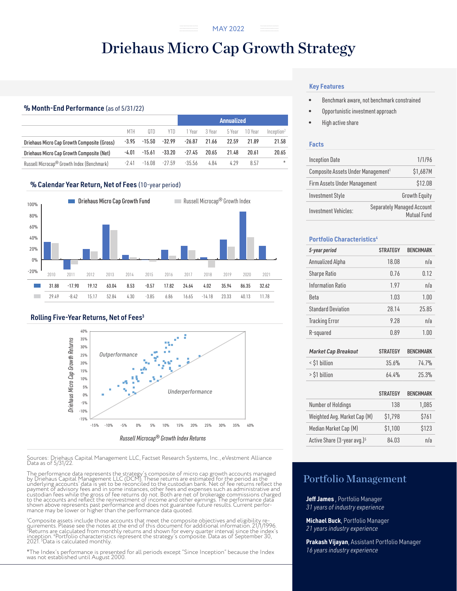# Driehaus Micro Cap Growth Strategy

## % Month-End Performance (as of 5/31/22)

|                                                        |         |          |          | <b>Annualized</b> |        |        |         |                        |  |
|--------------------------------------------------------|---------|----------|----------|-------------------|--------|--------|---------|------------------------|--|
|                                                        | MTH     | 0TD      | YTD.     | 1 Year            | 3 Year | 5 Year | 10 Year | Inception <sup>2</sup> |  |
| Driehaus Micro Cap Growth Composite (Gross)            | $-3.95$ | $-15.50$ | $-32.99$ | $-26.87$          | 21.66  | 22.59  | 21.89   | 21.58                  |  |
| Driehaus Micro Cap Growth Composite (Net)              | $-4.01$ | $-15.61$ | $-33.20$ | $-27.45$          | 20.65  | 21.48  | 20.61   | 20.65                  |  |
| Russell Microcap <sup>®</sup> Growth Index (Benchmark) | -241    | $-16.08$ | $-27.59$ | $-35.56$          | 4.84   | 4.29   | 8.57    | $\star$                |  |

## % Calendar Year Return, Net of Fees (10-year period)



### Rolling Five-Year Returns, Net of Fees<sup>3</sup>



Sources: Driehaus Capital Management LLC, Factset Research Systems, Inc., eVestment Alliance Data as of 5/31/22.

The performance data represents the strategy's composite of micro cap growth accounts managed by Driehaus Capital Management LLC (DCM). These returns are estimated for the period as the underlying accounts' data is yet to be reconciled to the custodian bank. Net of fee returns reflect the<br>payment of advisory fees and in some instances, other fees and expenses such as administrative and<br>custodian fees whil shown above represents past performance and does not guarantee future results. Current perfor- mance may be lower or higher than the performance data quoted.

'Composite assets include those accounts that meet the composite objectives and eligibility re-<br>quirements. Please see the notes at the end of this document for additional information. 21/1/1996.<br><sup>3</sup>Returns are calculated

\*The Index's performance is presented for all periods except "Since Inception" because the Index was not established until August 2000.

#### **Key Features**

- Benchmark aware, not benchmark constrained
- Opportunistic investment approach
- High active share

#### **Facts**

| <b>Inception Date</b>                          | 1/1/96   |                                                  |
|------------------------------------------------|----------|--------------------------------------------------|
| Composite Assets Under Management <sup>1</sup> | \$1,687M |                                                  |
| Firm Assets Under Management                   | \$12.0B  |                                                  |
| <b>Investment Style</b>                        |          | <b>Growth Equity</b>                             |
| Investment Vehicles:                           |          | <b>Separately Managed Account</b><br>Mutual Fund |

#### **Portfolio Characteristics4**

| 5-year period                | <b>STRATEGY</b> | <b>BENCHMARK</b> |
|------------------------------|-----------------|------------------|
| Annualized Alpha             | 18.08           | n/a              |
| <b>Sharpe Ratio</b>          | 0.76            | 0.12             |
| <b>Information Ratio</b>     | 1.97            | n/a              |
| Beta                         | 1.03            | 1.00             |
| <b>Standard Deviation</b>    | 28.14           | 25.85            |
| <b>Tracking Error</b>        | 9.28            | n/a              |
| R-squared                    | 0.89            | 1.00             |
|                              |                 |                  |
| <b>Market Cap Breakout</b>   | <b>STRATEGY</b> | <b>BENCHMARK</b> |
| < \$1 billion                | 35.6%           | 74.7%            |
| > \$1 billion                | 64.4%           | 25.3%            |
|                              |                 |                  |
|                              | <b>STRATEGY</b> | <b>BENCHMARK</b> |
| Number of Holdings           | 138             | 1,085            |
| Weighted Avg. Market Cap (M) | \$1,798         | \$761            |

Median Market Cap (M)  $$1,100$  \$123 Active Share (3-year avg.)<sup>5</sup> 84.03 n/a

## Portfolio Management

**Jeff James** , Portfolio Manager *31 years of industry experience*

**Michael Buck**, Portfolio Manager *21 years industry experience*

**Prakash Vijayan**, Assistant Portfolio Manager *16 years industry experience*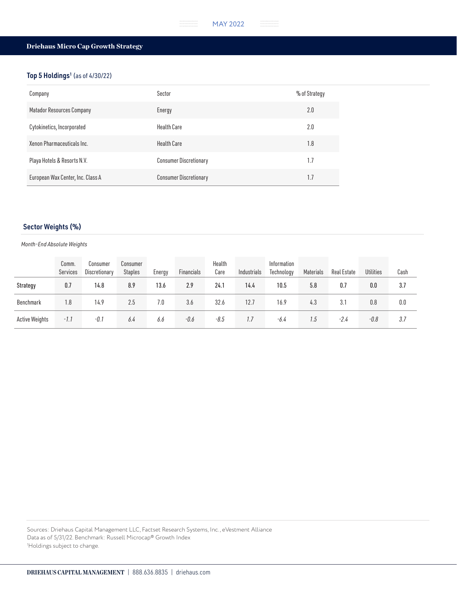#### . . . . . . . .<br>. . . . . . . . .<br>. . . . . . . . MAY 2022

## Driehaus Micro Cap Growth Strategy

## Top 5 Holdings<sup>1</sup> (as of 4/30/22)

| Company                           | Sector                        | % of Strategy |
|-----------------------------------|-------------------------------|---------------|
| Matador Resources Company         | Energy                        | 2.0           |
| Cytokinetics, Incorporated        | <b>Health Care</b>            | 2.0           |
| Xenon Pharmaceuticals Inc.        | <b>Health Care</b>            | 1.8           |
| Playa Hotels & Resorts N.V.       | <b>Consumer Discretionary</b> | 1.7           |
| European Wax Center, Inc. Class A | <b>Consumer Discretionary</b> | 1.7           |

## Sector Weights (%)

#### *Month-End Absolute Weights*

|                | Comm.<br>Services | Consumer<br>Discretionary | Consumer<br><b>Staples</b> | Energy | Financials | Health<br>Care | Industrials | Information<br>Technology | Materials | Real Estate | <b>Utilities</b> | Cash |
|----------------|-------------------|---------------------------|----------------------------|--------|------------|----------------|-------------|---------------------------|-----------|-------------|------------------|------|
| Strategy       | 0.7               | 14.8                      | 8.9                        | 13.6   | 2.9        | 24.1           | 14.4        | 10.5                      | 5.8       | 0.7         | 0.0              | 3.7  |
| Benchmark      | 1.8               | 14.9                      | 2.5                        | 7.0    | 3.6        | 32.6           | 12.7        | 16.9                      | 4.3       | 3.1         | 0.8              | 0.0  |
| Active Weights | -1.1              | $-0.1$                    | 6.4                        | 6.6    | $-0.6$     | $-8.5$         | 1.7         | -6.4                      | 1.5       | $-2.4$      | $-0.8$           | 3.7  |

Sources: Driehaus Capital Management LLC, Factset Research Systems, Inc., eVestment Alliance Data as of 5/31/22. Benchmark: Russell Microcap® Growth Index 1 Holdings subject to change.